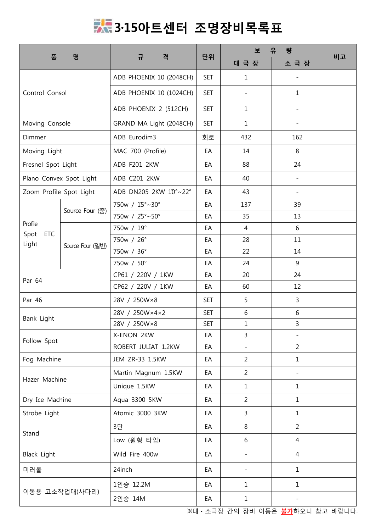## **3·15아트센터 조명장비목록표**

|                         |                                                                                                                                                                                                                                                                |                     | 규<br>격                  | 단위             | 유<br>량<br>보              |                                                                                                                                                                                               |    |
|-------------------------|----------------------------------------------------------------------------------------------------------------------------------------------------------------------------------------------------------------------------------------------------------------|---------------------|-------------------------|----------------|--------------------------|-----------------------------------------------------------------------------------------------------------------------------------------------------------------------------------------------|----|
|                         |                                                                                                                                                                                                                                                                |                     |                         |                | 대 극 장                    | 소 극 장                                                                                                                                                                                         |    |
|                         |                                                                                                                                                                                                                                                                |                     | ADB PHOENIX 10 (2048CH) | <b>SET</b>     | 1                        |                                                                                                                                                                                               |    |
|                         |                                                                                                                                                                                                                                                                |                     | ADB PHOENIX 10 (1024CH) | <b>SET</b>     | $\overline{\phantom{0}}$ | $\mathbf{1}$                                                                                                                                                                                  |    |
|                         |                                                                                                                                                                                                                                                                |                     | ADB PHOENIX 2 (512CH)   | <b>SET</b>     | $\mathbf 1$              |                                                                                                                                                                                               |    |
|                         |                                                                                                                                                                                                                                                                |                     | GRAND MA Light (2048CH) | <b>SET</b>     | $\mathbf{1}$             | $\overline{\phantom{a}}$                                                                                                                                                                      |    |
|                         |                                                                                                                                                                                                                                                                |                     | ADB Eurodim3            | 회로             | 432                      | 162                                                                                                                                                                                           |    |
|                         |                                                                                                                                                                                                                                                                |                     | MAC 700 (Profile)       | EA             | 14                       | 8                                                                                                                                                                                             |    |
| Fresnel Spot Light      |                                                                                                                                                                                                                                                                |                     | ADB F201 2KW            | EA             | 88                       | 24                                                                                                                                                                                            |    |
| Plano Convex Spot Light |                                                                                                                                                                                                                                                                |                     | ADB C201 2KW            | EA             | 40                       |                                                                                                                                                                                               |    |
|                         |                                                                                                                                                                                                                                                                |                     | ADB DN205 2KW 10°~22°   | EA             | 43                       |                                                                                                                                                                                               |    |
|                         |                                                                                                                                                                                                                                                                | Source Four (줌)     | 750w / 15°~30°          | EA             | 137                      | 39                                                                                                                                                                                            |    |
|                         |                                                                                                                                                                                                                                                                |                     | 750w / 25°~50°          | EA             | 35                       | 13                                                                                                                                                                                            |    |
|                         |                                                                                                                                                                                                                                                                |                     | 750w / 19°              | EA             | $\overline{4}$           | 6                                                                                                                                                                                             |    |
|                         |                                                                                                                                                                                                                                                                | Source Four (일반)    | 750w / 26°              | EA             | 28                       | 11                                                                                                                                                                                            |    |
|                         |                                                                                                                                                                                                                                                                |                     | 750w / 36°              | EA             | 22                       | 14                                                                                                                                                                                            |    |
|                         |                                                                                                                                                                                                                                                                |                     | 750w / 50°              | EA             | 24                       | 9                                                                                                                                                                                             |    |
|                         |                                                                                                                                                                                                                                                                |                     | CP61 / 220V / 1KW       | EA             | 20                       | 24                                                                                                                                                                                            | 비고 |
|                         |                                                                                                                                                                                                                                                                |                     | CP62 / 220V / 1KW       | EA             | 60                       | 12                                                                                                                                                                                            |    |
|                         |                                                                                                                                                                                                                                                                |                     | 28V / 250W×8            | <b>SET</b>     | 5                        | $\mathbf{3}$                                                                                                                                                                                  |    |
|                         |                                                                                                                                                                                                                                                                |                     | 28V / 250W×4×2          | <b>SET</b>     | 6                        | 6<br>3<br>$\overline{\phantom{a}}$<br>$\overline{2}$<br>$\mathbf{1}$<br>$\mathbf{1}$<br>$\mathbf{1}$<br>$\mathbf{1}$<br>$\overline{2}$<br>4<br>$\overline{4}$<br>$\mathbf{1}$<br>$\mathbf{1}$ |    |
|                         |                                                                                                                                                                                                                                                                |                     | 28V / 250W×8            | <b>SET</b>     | $\mathbf{1}$             |                                                                                                                                                                                               |    |
|                         | 품<br>명<br>Control Consol<br>Moving Console<br>Dimmer<br>Moving Light<br>Zoom Profile Spot Light<br>Profile<br>Spot<br><b>ETC</b><br>Light<br>Par 64<br>Par 46<br>Bank Light<br>Follow Spot<br>Fog Machine<br>Dry Ice Machine<br>Stand<br>미러볼<br>이동용 고소작업대(사다리) | X-ENON 2KW          | EA                      | $\mathbf{3}$   |                          |                                                                                                                                                                                               |    |
|                         |                                                                                                                                                                                                                                                                | ROBERT JULIAT 1.2KW | EA                      | $\overline{a}$ |                          |                                                                                                                                                                                               |    |
|                         |                                                                                                                                                                                                                                                                |                     | JEM ZR-33 1.5KW         | EA             | $\overline{2}$           |                                                                                                                                                                                               |    |
|                         |                                                                                                                                                                                                                                                                |                     | Martin Magnum 1.5KW     | EA             | $\overline{2}$           |                                                                                                                                                                                               |    |
|                         | Hazer Machine                                                                                                                                                                                                                                                  | Unique 1.5KW        | EA                      | $\mathbf{1}$   |                          |                                                                                                                                                                                               |    |
|                         |                                                                                                                                                                                                                                                                |                     | Aqua 3300 5KW           | EA             | $\overline{2}$           |                                                                                                                                                                                               |    |
| Strobe Light            |                                                                                                                                                                                                                                                                |                     | Atomic 3000 3KW         | EA             | $\mathsf{3}$             |                                                                                                                                                                                               |    |
|                         | 8<br>3단<br>EA                                                                                                                                                                                                                                                  |                     |                         |                |                          |                                                                                                                                                                                               |    |
|                         |                                                                                                                                                                                                                                                                |                     | Low (원형 타입)             | EA             | 6                        |                                                                                                                                                                                               |    |
| Black Light             |                                                                                                                                                                                                                                                                |                     | Wild Fire 400w          | EA             |                          |                                                                                                                                                                                               |    |
|                         |                                                                                                                                                                                                                                                                |                     | 24inch                  | EA             |                          |                                                                                                                                                                                               |    |
|                         |                                                                                                                                                                                                                                                                |                     | 1인승 12.2M               | EA             | $\mathbf{1}$             |                                                                                                                                                                                               |    |
|                         |                                                                                                                                                                                                                                                                |                     | 2인승 14M                 | EA             | $\mathbf{1}$             |                                                                                                                                                                                               |    |
|                         |                                                                                                                                                                                                                                                                |                     |                         |                |                          |                                                                                                                                                                                               |    |

※대ㆍ소극장 간의 장비 이동은 **불가**하오니 참고 바랍니다.